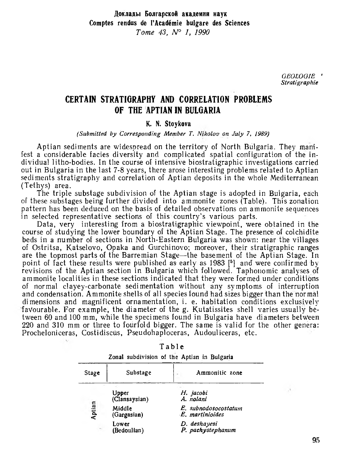*GEOLOGIE* ' *Stratigraphie*

## CERTAIN STRATIGRAPHY AND CORRELATION PROBLEMS OF THE APTIAN IN BULGARIA

## K. N. Stoykova

## *(Submitted by Corresponding Member T. Nikolov on July* 7, *1989)*

Aptian sediments are widespread on the territory of North Bulgaria. They manifest a considerable facies diversity and complicated spatial configuration of the individual litho-bodies. In the course of intensive biostratigraphic investigations carried out in Bulgaria in the last 7-8 years, there arose interesting problems related to Aptian sediments stratigraphy and correlation of Aptian deposits in the whole Mediterranean (Tethys) area.

The triple substage subdivision of the Aptian stage is adopted in Bulgaria, each of these substages being further divided into ammonite zones (Table). This zonation pattern has been deduced on the basis of detailed observations on ammonite sequences in selected representative sections of this country's various parts.

Data, very interesting from a biostratigraphic viewpoint, were obtained in the course of studying the lower boundary of the Aptian Stage. The presence of colchidite beds in a number of sections in North-Eastern Bulgaria was shown: near the villages of Ostritsa, Katselovo, Opaka and Gurchinovo; moreover, their stratigraphie ranges are the topmost parts of the Barremian Stage—the basement of the Aptian Stage. In point of fact these results were published as early as 1983 [5] and were confirmed by revisions of the Aptian section in Bulgaria which followed. Taphoiiomic analyses of ammonite localities in these sections indicated that they were formed under conditions of normal clayey-carbonate sedimentation without any symptoms of interruption and condensation. Ammonite shells of all species found had sizes bigger than the normal dimensions and magnificent ornamentation, i. e. habitation conditions exclusively favourable. For example, the diameter of the g. Kutatissites shell varies usually between 60 and 100 mm, w'hile the specimens found in Bulgaria have diameters between 220 and 310 mm or three to fourfold bigger. The same is valid for the other genera: Procheloniceras, Costidiscùs, Pseudohaploceras, Audouliceras, etc.

| Stage  | Substage               | Ammonitic zone                          |
|--------|------------------------|-----------------------------------------|
| Aptian | Upper<br>(Clansaysian) | H. jacobi<br>A. nolani                  |
|        | Middle<br>(Gargasian)  | E. subnodosocostatum<br>E. martinioides |
|        | Lower<br>(Bedoulian)   | D. deshayesi<br>P. pachystephanum       |

Table

Zonal subdivision of the Aptian in Bulgaria